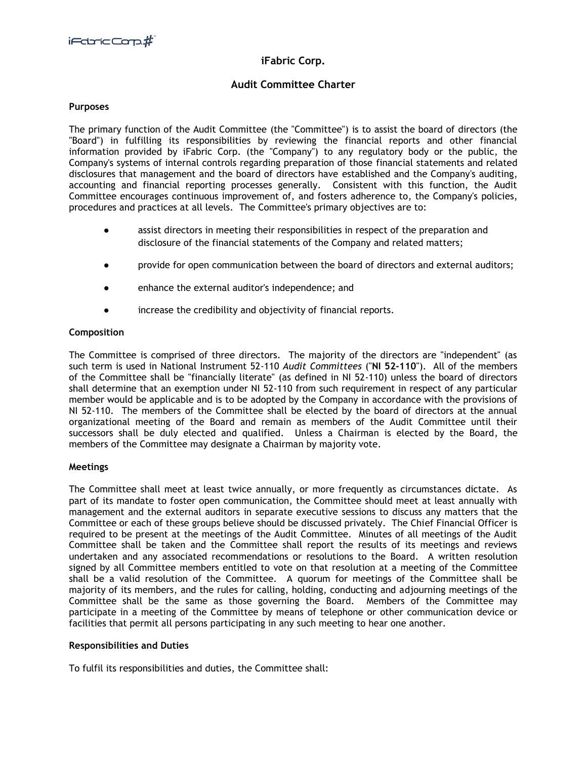# **iFabric Corp.**

# **Audit Committee Charter**

## **Purposes**

The primary function of the Audit Committee (the "Committee") is to assist the board of directors (the "Board") in fulfilling its responsibilities by reviewing the financial reports and other financial information provided by iFabric Corp. (the "Company") to any regulatory body or the public, the Company's systems of internal controls regarding preparation of those financial statements and related disclosures that management and the board of directors have established and the Company's auditing, accounting and financial reporting processes generally. Consistent with this function, the Audit Committee encourages continuous improvement of, and fosters adherence to, the Company's policies, procedures and practices at all levels. The Committee's primary objectives are to:

- assist directors in meeting their responsibilities in respect of the preparation and disclosure of the financial statements of the Company and related matters;
- provide for open communication between the board of directors and external auditors;
- enhance the external auditor's independence; and
- increase the credibility and objectivity of financial reports.

## **Composition**

The Committee is comprised of three directors. The majority of the directors are "independent" (as such term is used in National Instrument 52-110 *Audit Committees* ("**NI 52-110**"). All of the members of the Committee shall be "financially literate" (as defined in NI 52-110) unless the board of directors shall determine that an exemption under NI 52-110 from such requirement in respect of any particular member would be applicable and is to be adopted by the Company in accordance with the provisions of NI 52-110. The members of the Committee shall be elected by the board of directors at the annual organizational meeting of the Board and remain as members of the Audit Committee until their successors shall be duly elected and qualified. Unless a Chairman is elected by the Board, the members of the Committee may designate a Chairman by majority vote.

## **Meetings**

The Committee shall meet at least twice annually, or more frequently as circumstances dictate. As part of its mandate to foster open communication, the Committee should meet at least annually with management and the external auditors in separate executive sessions to discuss any matters that the Committee or each of these groups believe should be discussed privately. The Chief Financial Officer is required to be present at the meetings of the Audit Committee. Minutes of all meetings of the Audit Committee shall be taken and the Committee shall report the results of its meetings and reviews undertaken and any associated recommendations or resolutions to the Board. A written resolution signed by all Committee members entitled to vote on that resolution at a meeting of the Committee shall be a valid resolution of the Committee. A quorum for meetings of the Committee shall be majority of its members, and the rules for calling, holding, conducting and adjourning meetings of the Committee shall be the same as those governing the Board. Members of the Committee may participate in a meeting of the Committee by means of telephone or other communication device or facilities that permit all persons participating in any such meeting to hear one another.

## **Responsibilities and Duties**

To fulfil its responsibilities and duties, the Committee shall: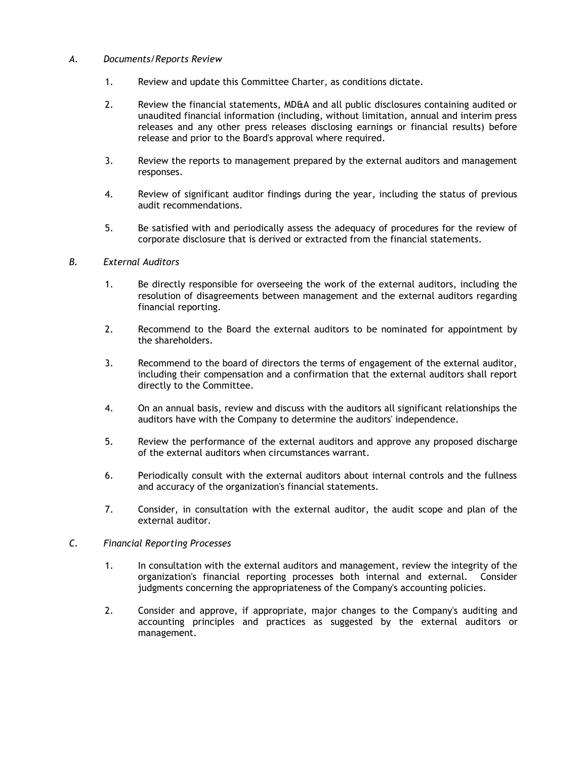## *A. Documents/Reports Review*

- 1. Review and update this Committee Charter, as conditions dictate.
- 2. Review the financial statements, MD&A and all public disclosures containing audited or unaudited financial information (including, without limitation, annual and interim press releases and any other press releases disclosing earnings or financial results) before release and prior to the Board's approval where required.
- 3. Review the reports to management prepared by the external auditors and management responses.
- 4. Review of significant auditor findings during the year, including the status of previous audit recommendations.
- 5. Be satisfied with and periodically assess the adequacy of procedures for the review of corporate disclosure that is derived or extracted from the financial statements.

## *B. External Auditors*

- 1. Be directly responsible for overseeing the work of the external auditors, including the resolution of disagreements between management and the external auditors regarding financial reporting.
- 2. Recommend to the Board the external auditors to be nominated for appointment by the shareholders.
- 3. Recommend to the board of directors the terms of engagement of the external auditor, including their compensation and a confirmation that the external auditors shall report directly to the Committee.
- 4. On an annual basis, review and discuss with the auditors all significant relationships the auditors have with the Company to determine the auditors' independence.
- 5. Review the performance of the external auditors and approve any proposed discharge of the external auditors when circumstances warrant.
- 6. Periodically consult with the external auditors about internal controls and the fullness and accuracy of the organization's financial statements.
- 7. Consider, in consultation with the external auditor, the audit scope and plan of the external auditor.

## *C. Financial Reporting Processes*

- 1. In consultation with the external auditors and management, review the integrity of the organization's financial reporting processes both internal and external. Consider judgments concerning the appropriateness of the Company's accounting policies.
- 2. Consider and approve, if appropriate, major changes to the Company's auditing and accounting principles and practices as suggested by the external auditors or management.